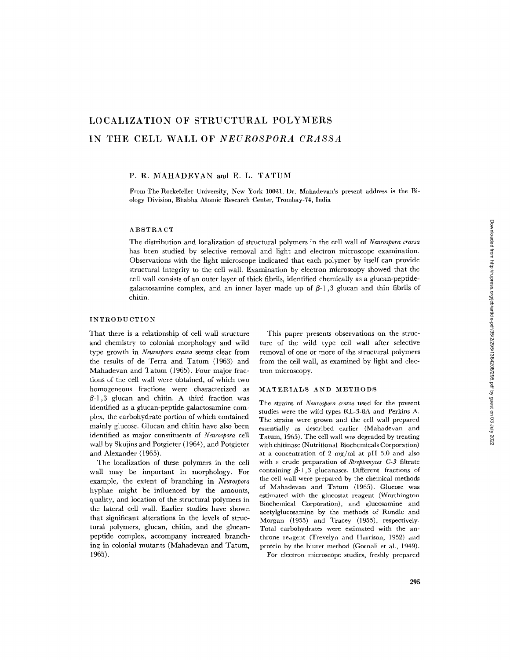# LOCALIZATION OF STRUCTURAL POLYMERS IN THE CELL WALL OF *NEUROSPORA CRASSA*

## P. R. MAHADEVAN and E. L. TATUM

From The Rockefeller University, New York 10021. Dr. Mahadevan's present address is the Biology Division, Bhabha Atomic Research Center, Trombay-74, India

# **ABSTRACT**

The distribution and localization of structural polymers in the cell wall of *Neurospora crassa* has been studied by selective removal and light and electron microscope examination. Observations with the light microscope indicated that each polymer by itself can provide structural integrity to the cell wall. Examination by electron microscopy showed that the cell wall consists of an outer layer of thick fibrils, identified chemically as a glucan-peptidegalactosamine complex, and an inner layer made up of  $\beta$ -1,3 glucan and thin fibrils of chitin.

### INTRODUCTION

That there is a relationship of cell wall structure and chemistry to colonial morphology and wild type growth in *Neurospora crassa* seems clear from the results of de Terra and Tatum (1963) and Mahadevan and Tatum (1965). Four major fractions of the cell wall were obtained, of which two homogeneous fractions were characterized as  $\beta$ -1,3 glucan and chitin. A third fraction was identified as a glucan-peptide-galactosamine complex, the carbohydrate portion of which contained mainly glucose. Glucan and chitin have also been identified as major constituents of *Neurospora* cell wall by Skujins and Potgieter (1964), and Potgieter and Alexander (1965).

The localization of these polymers in the cell wall may be important in morphology. For example, the extent of branching in *Neurospora* hyphae might be influenced by the amounts, quality, and location of the structural polymers in the lateral cell wall. Earlier studies have shown that significant alterations in the levels of structural polymers, glucan, chitin, and the glucanpeptide complex, accompany increased branching in colonial mutants (Mahadevan and Tatum, 1965).

This paper presents observations on the structure of the wild type cell wall after selective removal of one or more of the structural polymers from the cell wall, as examined by light and electron microscopy.

#### MATERIALS AND METHODS

The strains of *Neurospora crassa* used for the present studies were the wild types RL-3-8A and Perkins A. The strains were grown and the cell wall prepared essentially as described earlier (Mahadevan and Tatum, 1965). The cell wall was degraded by treating with chitinase (Nutritional Biochemicals Corporation) at a concentration of 2 mg/ml at pH 5.0 and also with a crude preparation of *Streptomyces C-3* filtrate containing  $\beta$ -1,3 glucanases. Different fractions of the cell wall were prepared by the chemical methods of Mahadevan and Tatum (1965). Glucose was estimated with the glucostat reagent (Worthington Biochemical Corporation), and glucosamine and acetylglucosamine by the methods of Rondle and Morgan (1955) and Tracey (1955), respectively. Total carbohydrates were estimated with the anthrone reagent (Trevelyn and Harrison, 1952) and protein by the biuret method (Gornall et al., 1949).

For electron microscope studies, freshly prepared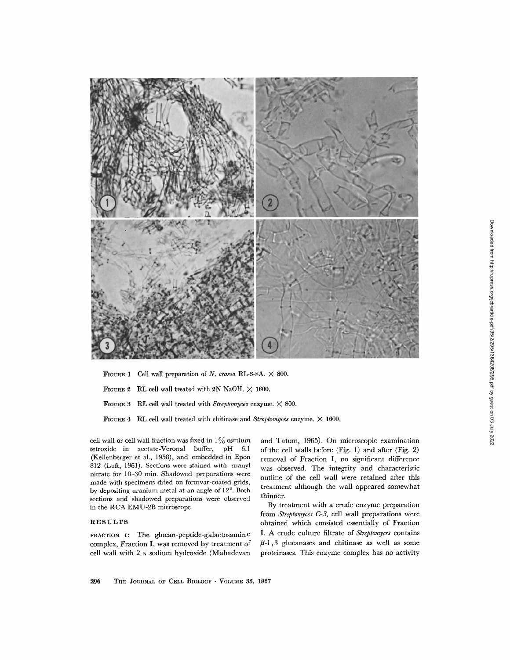

FIGURE 1 Cell wall preparation of *N. crassa* RL-3-8A. X 800.

FIGURE 2 RL cell wall treated with 2N NaOH.  $\times$  1600.

FIGURE 3 RL cell wall treated with *Streptomyces* enzyme. X 800.

FIGURE 4 RL cell wall treated with chitinase and *Streptomyces* enzyme. X 1600.

cell wall or cell wall fraction was fixed in  $1\%$  osmium tetroxide in acetate-Veronal buffer, pH 6.1 (Kellenberger et al., 1958), and embedded in Epon 812 (Luft, 1961). Sections were stained with uranyl nitrate for 10-30 min. Shadowed preparations were made with specimens dried on formvar-coated grids, by depositing uranium metal at an angle of 12° . Both sections and shadowed preparations were observed in the RCA EMU-2B microscope.

# RESULTS

**FRACTION I:** The glucan-peptide-galactosamin e complex, Fraction I, was removed by treatment of cell wall with 2 N sodium hydroxide (Mahadevan and Tatum, 1965). On microscopic examination of the cell walls before (Fig. 1) and after (Fig. 2) removal of Fraction I, no significant difference was observed. The integrity and characteristic outline of the cell wall were retained after this treatment although the wall appeared somewhat thinner.

By treatment with a crude enzyme preparation from *Streptomyces C-3,* cell wall preparations were obtained which consisted essentially of Fraction I. A crude culture filtrate of *Streptomyces* contains  $\beta$ -1,3 glucanases and chitinase as well as some proteinases. This enzyme complex has no activity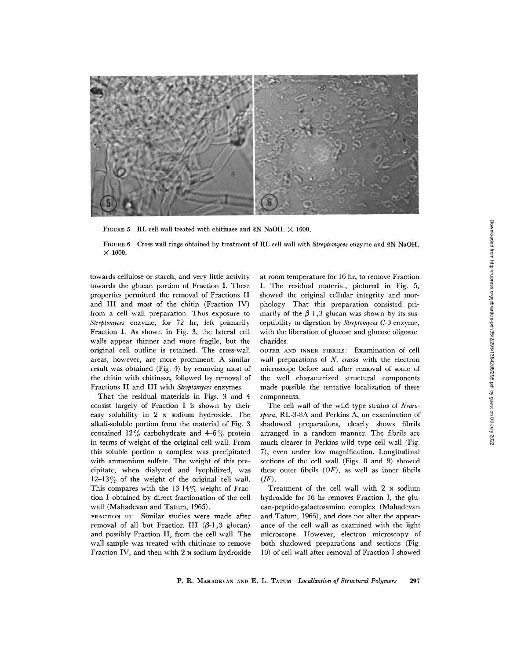

FIGURE 5 RL cell wall treated with chitinase and 2N NaOH.  $\times$  1600.

FIGURE 6 Cross wall rings obtained by treatment of RL cell wall with *Streptomyces* enzyme and QN NaOH.  $\times$  1600.

towards cellulose or starch, and very little activity towards the glucan portion of Fraction I. These properties permitted the removal of Fractions II and III and most of the chitin (Fraction IV) from a cell wall preparation. Thus exposure to *Streptomyces* enzyme, for 72 hr, left primarily Fraction I. As shown in Fig. 3, the lateral cell walls appear thinner and more fragile, but the original cell outline is retained. The cross-wall areas, however, are more prominent. A similar result was obtained (Fig. 4) by removing most of the chitin with chitinase, followed by removal of Fractions II and III with *Streptomyces* enzymes.

That the residual materials in Figs. 3 and 4 consist largely of Fraction I is shown by their easy solubility in 2 N sodium hydroxide. The alkali-soluble portion from the material of Fig. 3 contained 12% carbohydrate and 4-6% protein in terms of weight of the original cell wall. From this soluble portion a complex was precipitated with ammonium sulfate. The weight of this precipitate, when dialyzed and lyophilized, was  $12-13\%$  of the weight of the original cell wall. This compares with the  $13-14\%$  weight of Fraction I obtained by direct fractionation of the cell wall (Mahadevan and Tatum, 1965).

FRACTION III: Similar studies were made after removal of all but Fraction III  $(\beta-1, 3 \text{ glucan})$ and possibly Fraction II, from the cell wall. The wall sample was treated with chitinase to remove Fraction IV, and then with 2 N sodium hydroxide at room temperature for 16 hr, to remove Fraction I. The residual material, pictured in Fig. 5, showed the original cellular integrity and morphology. That this preparation consisted primarily of the  $\beta$ -1,3 glucan was shown by its susceptibility to digestion by *Streptomyces C-3* enzyme, with the liberation of glucose and glucose oligosac charides.

OUTER AND INNER FIBRILS: Examination of cell wall preparations of *N. crassa* with the electron microscope before and after removal of some of the well characterized structural components made possible the tentative localization of these components.

The cell wall of the wild type strains of *Neurospora,* RL-3-8A and Perkins A, on examination of shadowed preparations, clearly shows fibrils arranged in a random manner. The fibrils are much clearer in Perkins wild type cell wall (Fig. 7), even under low magnification. Longitudinal sections of the cell wall (Figs. 8 and 9) showed these outer fibrils *(OF),* as well as inner fibrils *(IF).*

Treatment of the cell wall with 2 N sodium hydroxide for 16 hr removes Fraction I, the glucan-peptide-galactosamine complex (Mahadevan and Tatum, 1965), and does not alter the appearance of the cell wall as examined with the light microscope. However, electron microscopy of both shadowed preparations and sections (Fig. 10) of cell wall after removal of Fraction I showed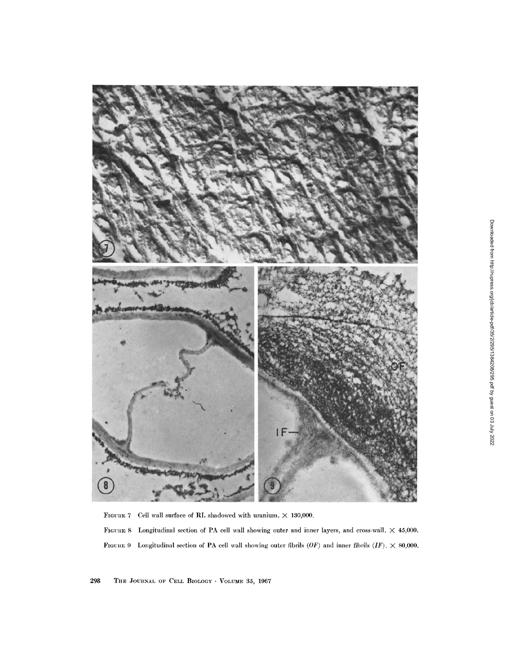

FIGURE 7 Cell wall surface of RL shadowed with uranium.  $\times$  130,000.

FIGURE 8 Longitudinal section of PA cell wall showing outer and inner layers, and cross-wall.  $\times$  45,000. FIGuntE 9 Longitudinal section of PA cell wall showing outer fibrils *(OF)* and inner fibrils *(IF).* X 80,000.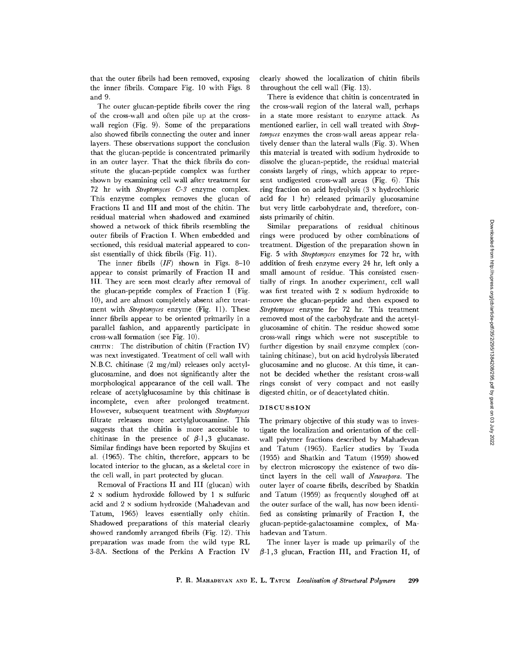that the outer fibrils had been removed, exposing the inner fibrils. Compare Fig. 10 with Figs. 8 and 9.

The outer glucan-peptide fibrils cover the ring of the cross-wall and often pile up at the crosswall region (Fig. 9). Some of the preparations also showed fibrils connecting the outer and inner layers. These observations support the conclusion that the glucan-peptide is concentrated primarily in an outer layer. That the thick fibrils do constitute the glucan-peptide complex was further shown by examining cell wall after treatment for 72 hr with *Streptomyces C-3* enzyme complex. This enzyme complex removes the glucan of Fractions II and III and most of the chitin. The residual material when shadowed and examined showed a network of thick fibrils resembling the outer fibrils of Fraction I. When embedded and sectioned, this residual material appeared to consist essentially of thick fibrils (Fig. 11).

The inner fibrils *(IF)* shown in Figs. 8-10 appear to consist primarily of Fraction II and III. They are seen most clearly after removal of the glucan-peptide complex of Fraction I (Fig. 10), and are almost completely absent after treatment with *Streptomyces* enzyme (Fig. 11). These inner fibrils appear to be oriented primarily in a parallel fashion, and apparently participate in cross-wall formation (see Fig. 10).

CHITIN: The distribution of chitin (Fraction IV) was next investigated. Treatment of cell wall with N.B.C. chitinase (2 mg/ml) releases only acetylglucosamine, and does not significantly alter the morphological appearance of the cell wall. The release of acetylglucosamine by this chitinase is incomplete, even after prolonged treatment. However, subsequent treatment with *Streptomyces* filtrate releases more acetylglucosamine. This suggests that the chitin is more accessible to chitinase in the presence of  $\beta$ -1,3 glucanase. Similar findings have been reported by Skujins et al. (1965). The chitin, therefore, appears to be located interior to the glucan, as a skeletal core in the cell wall, in part protected by glucan.

Removal of Fractions II and III (glucan) with 2 N sodium hydroxide followed by 1 N sulfuric acid and 2 N sodium hydroxide (Mahadevan and Tatum, 1965) leaves essentially only chitin. Shadowed preparations of this material clearly showed randomly arranged fibrils (Fig. 12). This preparation was made from the wild type RL 3-8A. Sections of the Perkins A Fraction IV

clearly showed the localization of chitin fibrils throughout the cell wall (Fig. 13).

There is evidence that chitin is concentrated in the cross-wall region of the lateral wall, perhaps in a state more resistant to enzyme attack. As mentioned earlier, in cell wall treated with *Streptomyces* enzymes the cross-wall areas appear relatively denser than the lateral walls (Fig. 3). When this material is treated with sodium hydroxide to dissolve the glucan-peptide, the residual material consists largely of rings, which appear to represent undigested cross-wall areas (Fig. 6). This ring fraction on acid hydrolysis (3 N hydrochloric acid for 1 hr) released primarily glucosamine but very little carbohydrate and, therefore, consists primarily of chitin.

Similar preparations of residual chitinous rings were produced by other combinations of treatment. Digestion of the preparation shown in Fig. 5 with *Streptomyces* enzymes for 72 hr, with addition of fresh enzyme every 24 hr, left only a small amount of residue. This consisted essentially of rings. In another experiment, cell wall was first treated with 2 N sodium hydroxide to remove the glucan-peptide and then exposed to *Streptomyces* enzyme for 72 hr. This treatment removed most of the carbohydrate and the acetylglucosamine of chitin. The residue showed some cross-wall rings which were not susceptible to further digestion by snail enzyme complex (containing chitinase), but on acid hydrolysis liberated glucosamine and no glucose. At this time, it cannot be decided whether the resistant cross-wall rings consist of very compact and not easily digested chitin, or of deacetylated chitin.

# DISCUSSION

The primary objective of this study was to investigate the localization and orientation of the cellwall polymer fractions described by Mahadevan and Tatum (1965). Earlier studies by Tsuda (1955) and Shatkin and Tatum (1959) showed by electron microscopy the existence of two distinct layers in the cell wall of *Neurospora.* The outer layer of coarse fibrils, described by Shatkin and Tatum (1959) as frequently sloughed off at the outer surface of the wall, has now been identified as consisting primarily of Fraction I, the glucan-peptide-galactosamine complex, of Mahadevan and Tatum.

The inner layer is made up primarily of the  $\beta$ -1,3 glucan, Fraction III, and Fraction II, of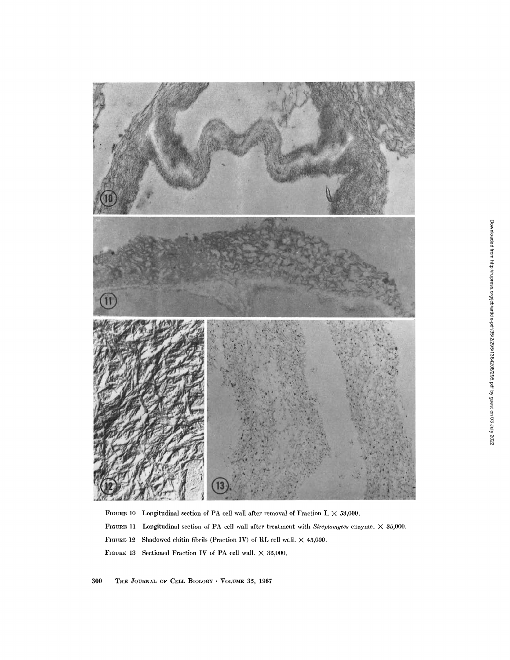

FIGURE 10 Longitudinal section of PA cell wall after removal of Fraction I.  $\times$  53,000. FIGURE 11 Longitudinal section of PA cell wall after treatment with *Streptomyces* enzyme. X 35,000. FIGURE 12 Shadowed chitin fibrils (Fraction IV) of RL cell wall.  $\times$  45,000. FIGURE 13 Sectioned Fraction IV of PA cell wall.  $\times$  35,000.

300 **THE** JOURNAL **OF** CELL BIOLOGY VOLUME 35, 1967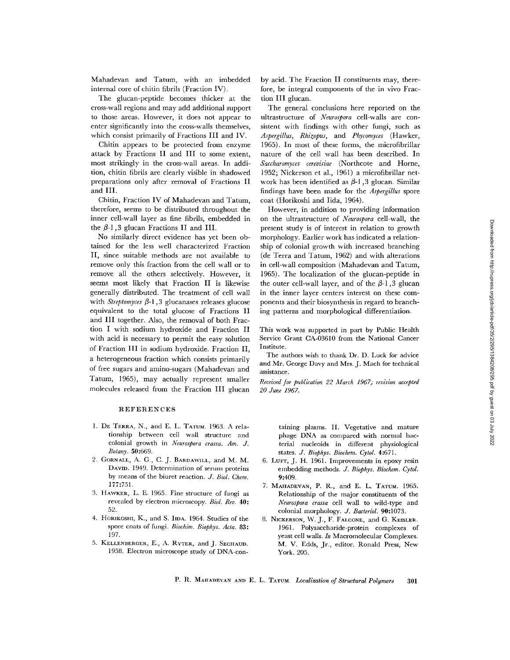Mahadevan and Tatum, with an imbedded internal core of chitin fibrils (Fraction IV).

The glucan-peptide becomes thicker at the cross-wall regions and may add additional support to those areas. However, it does not appear to enter significantly into the cross-walls themselves, which consist primarily of Fractions III and IV.

Chitin appears to be protected from enzyme attack by Fractions II and III to some extent, most strikingly in the cross-wall areas. In addition, chitin fibrils are clearly visible in shadowed preparations only after removal of Fractions II and III.

Chitin, Fraction IV of Mahadevan and Tatum, therefore, seems to be distributed throughout the inner cell-wall layer as fine fibrils, embedded in the  $\beta$ -1,3 glucan Fractions II and III.

No similarly direct evidence has yet been obtained for the less well characterized Fraction II, since suitable methods are not available to remove only this fraction from the cell wall or to remove all the others selectively. However, it seems most likely that Fraction II is likewise generally distributed. The treatment of cell wall with *Streptomyces*  $\beta$ -1,3 glucanases releases glucose equivalent to the total glucose of Fractions II and III together. Also, the removal of both Fraction I with sodium hydroxide and Fraction II with acid is necessary to permit the easy solution of Fraction III in sodium hydroxide. Fraction II, a heterogeneous fraction which consists primarily of free sugars and amino-sugars (Mahadevan and Tatum, 1965), may actually represent smaller molecules released from the Fraction III glucan

## REFERENCES

- 1. DE TERRA, N., and E. L. TATUM. 1963. A relationship between cell wall structure and colonial growth in *Neurospora crassa. Am. J. Botany.* 50:669.
- 2. GORNALL, A. G., C. J. BARDAWILL, and M. M. DAVID. 1949. Determination of serum proteins by means of the biuret reaction. *J. Biol. Chem.* 177:751.
- 3. HAWKER, L. E. 1965. Fine structure of fungi as revealed by electron microscopy. *Biol. Rev.* 40: 52.
- 4. HORIKOSHI, K., and S. IIDA. 1964. Studies of the spore coats of fungi. *Biochim. Biophys. Acta. 83:* 197.
- 5. KELLENBERGER, E., A. RYTER, and J. SECHAUD. 1958. Electron microscope study of DNA-con-

by acid. The Fraction II constituents may, therefore, be integral components of the in vivo Fraction III glucan.

The general conclusions here reported on the ultrastructure of *Neurospora* cell-walls are consistent with findings with other fungi, such as *Aspergillus, Rhizopus,* and *Phycomyces* (Hawker, 1965). In most of these forms, the microfibrillar nature of the cell wall has been described. In *Saccharomyces cerevisiae* (Northcote and Horne, 1952; Nickerson et al., 1961) a microfibrillar network has been identified as  $\beta$ -1,3 glucan. Similar findings have been made for the *Aspergillus* spore coat (Horikoshi and Iida, 1964).

However, in addition to providing information on the ultrastructure of *Neurospora* cell-wall, the present study is of interest in relation to growth morphology. Earlier work has indicated a relationship of colonial growth with increased branching (de Terra and Tatum, 1962) and with alterations in cell-wall composition (Mahadevan and Tatum, 1965). The localization of the glucan-peptide in the outer cell-wall layer, and of the  $\beta$ -1,3 glucan in the inner layer centers interest on these components and their biosynthesis in regard to branching patterns and morphological differentiation.

This work was supported in part by Public Health Service Grant CA-03610 from the National Cancer Institute.

The authors wish to thank Dr. D. Luck for advice and Mr. George Davy and Mrs. J. Mach for technical assistance.

*Received for publication 22 March 1967; revision accepted 20 June 1967.*

> taining plasms. II. Vegetative and mature phage DNA as compared with normal bacterial nucleoids in different physiological states. *J. Biophys. Biochem. Cytol.* 4:671.

- 6. LUFT, J. H. 1961. Improvements in epoxy resin embedding methods. *J. Biophys. Biochem. Cytol.* 9:409.
- 7. MAHADEVAN, P. R., and E. L. TATUM. 1965. Relationship of the major constituents of the *Neurospora crassa* cell wall to wild-type and colonial morphology. *J. Bacteriol.* 90:1073.
- 8. NICKERSON, W. J., F. FALCONE, and G. KESSLER. 1961. Polysaccharide-protein complexes of yeast cell walls. *In* Macromolecular Complexes. M. V. Edds, Jr., editor. Ronald Press, New York. 205.

P. R. MAHADEVAN AND E. L. TATUM *Localization of Structural Polymers* 301